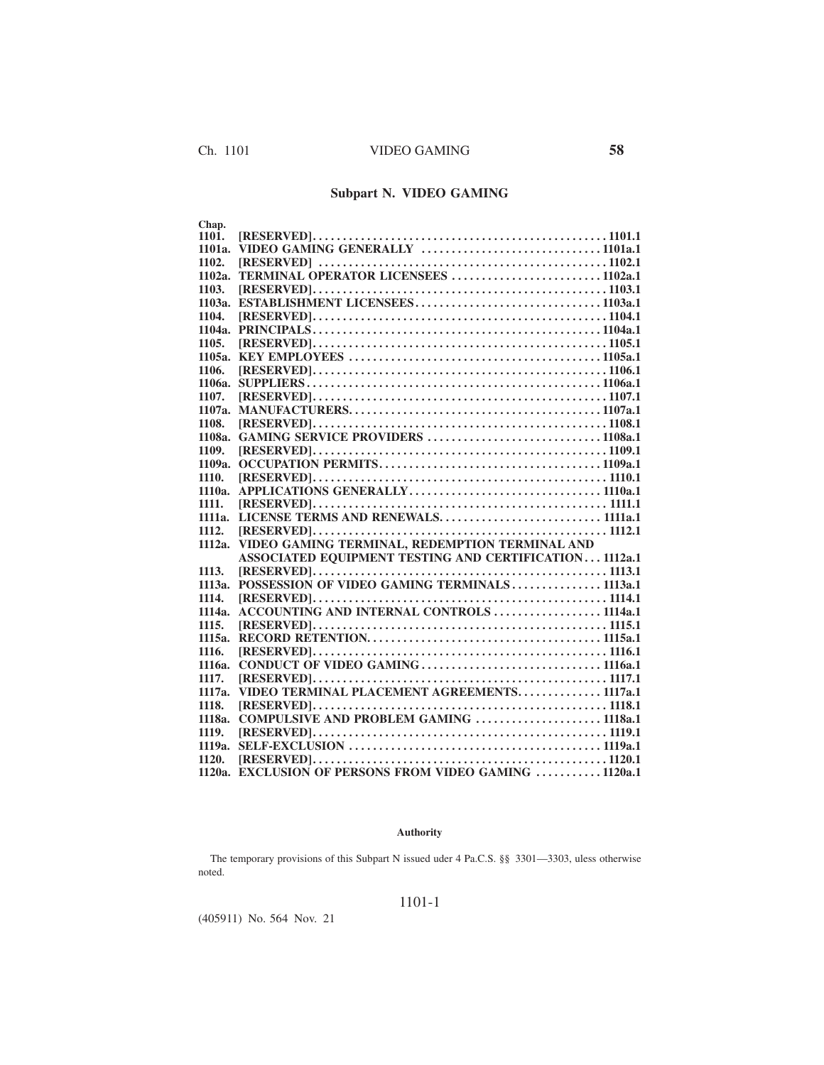# **Subpart N. VIDEO GAMING**

| Chap.  |                                                        |
|--------|--------------------------------------------------------|
| 1101.  |                                                        |
| 1101a. |                                                        |
| 1102.  |                                                        |
| 1102a. | TERMINAL OPERATOR LICENSEES 1102a.1                    |
| 1103.  |                                                        |
| 1103a. |                                                        |
| 1104.  |                                                        |
| 1104a. |                                                        |
| 1105.  |                                                        |
| 1105a. |                                                        |
| 1106.  |                                                        |
| 1106а. |                                                        |
| 1107.  |                                                        |
| 1107a. |                                                        |
| 1108.  |                                                        |
| 1108a. | <b>GAMING SERVICE PROVIDERS 1108a.1</b>                |
| 1109.  |                                                        |
| 1109a. |                                                        |
| 1110.  |                                                        |
| 1110a. |                                                        |
| 1111.  |                                                        |
| 1111a. | LICENSE TERMS AND RENEWALS 1111a.1                     |
| 1112.  |                                                        |
| 1112a. | VIDEO GAMING TERMINAL, REDEMPTION TERMINAL AND         |
|        | ASSOCIATED EQUIPMENT TESTING AND CERTIFICATION 1112a.1 |
| 1113.  |                                                        |
| 1113a. | POSSESSION OF VIDEO GAMING TERMINALS1113a.1            |
| 1114.  |                                                        |
| 1114a. | <b>ACCOUNTING AND INTERNAL CONTROLS  1114a.1</b>       |
| 1115.  |                                                        |
| 1115a. |                                                        |
| 1116.  |                                                        |
| 1116a. |                                                        |
| 1117.  |                                                        |
| 1117a. | VIDEO TERMINAL PLACEMENT AGREEMENTS1117a.1             |
| 1118.  |                                                        |
| 1118a. | COMPULSIVE AND PROBLEM GAMING  1118a.1                 |
| 1119.  |                                                        |
| 1119a. |                                                        |
| 1120.  |                                                        |
| 1120a. | <b>EXCLUSION OF PERSONS FROM VIDEO GAMING 1120a.1</b>  |

## **Authority**

The temporary provisions of this Subpart N issued uder 4 Pa.C.S. §§ 3301—3303, uless otherwise noted.

## 1101-1

(405911) No. 564 Nov. 21